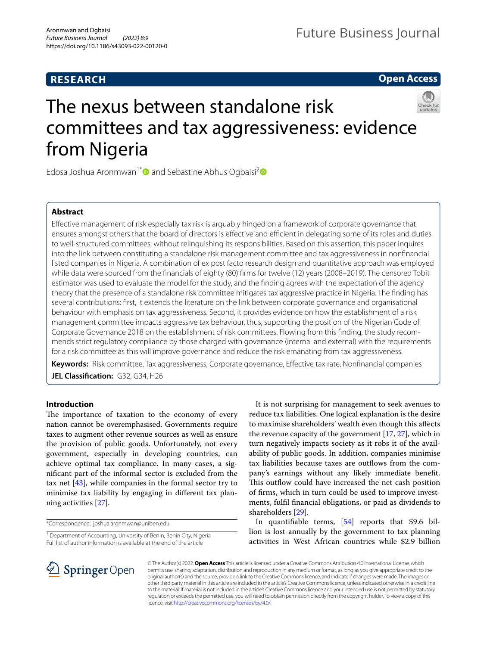# **RESEARCH**

**Open Access**

# The nexus between standalone risk committees and tax aggressiveness: evidence from Nigeria

Edosa Joshua Aronmwan<sup>1\*</sup> and Sebastine Abhus Ogbaisi<sup>2</sup><sup>®</sup>

# **Abstract**

Efective management of risk especially tax risk is arguably hinged on a framework of corporate governance that ensures amongst others that the board of directors is effective and efficient in delegating some of its roles and duties to well-structured committees, without relinquishing its responsibilities. Based on this assertion, this paper inquires into the link between constituting a standalone risk management committee and tax aggressiveness in nonfnancial listed companies in Nigeria. A combination of ex post facto research design and quantitative approach was employed while data were sourced from the fnancials of eighty (80) frms for twelve (12) years (2008–2019). The censored Tobit estimator was used to evaluate the model for the study, and the fnding agrees with the expectation of the agency theory that the presence of a standalone risk committee mitigates tax aggressive practice in Nigeria. The fnding has several contributions: frst, it extends the literature on the link between corporate governance and organisational behaviour with emphasis on tax aggressiveness. Second, it provides evidence on how the establishment of a risk management committee impacts aggressive tax behaviour, thus, supporting the position of the Nigerian Code of Corporate Governance 2018 on the establishment of risk committees. Flowing from this fnding, the study recommends strict regulatory compliance by those charged with governance (internal and external) with the requirements for a risk committee as this will improve governance and reduce the risk emanating from tax aggressiveness.

**Keywords:** Risk committee, Tax aggressiveness, Corporate governance, Efective tax rate, Nonfnancial companies

**JEL Classifcation:** G32, G34, H26

# **Introduction**

The importance of taxation to the economy of every nation cannot be overemphasised. Governments require taxes to augment other revenue sources as well as ensure the provision of public goods. Unfortunately, not every government, especially in developing countries, can achieve optimal tax compliance. In many cases, a signifcant part of the informal sector is excluded from the tax net [[43\]](#page-10-0), while companies in the formal sector try to minimise tax liability by engaging in diferent tax planning activities [[27\]](#page-10-1).

\*Correspondence: joshua.aronmwan@uniben.edu

<sup>1</sup> Department of Accounting, University of Benin, Benin City, Nigeria Full list of author information is available at the end of the article

It is not surprising for management to seek avenues to reduce tax liabilities. One logical explanation is the desire to maximise shareholders' wealth even though this afects the revenue capacity of the government [\[17](#page-10-2), [27\]](#page-10-1), which in turn negatively impacts society as it robs it of the availability of public goods. In addition, companies minimise tax liabilities because taxes are outflows from the company's earnings without any likely immediate beneft. This outflow could have increased the net cash position of frms, which in turn could be used to improve investments, fulfl fnancial obligations, or paid as dividends to shareholders [\[29](#page-10-3)].

In quantifable terms, [\[54](#page-10-4)] reports that \$9.6 billion is lost annually by the government to tax planning activities in West African countries while \$2.9 billion



© The Author(s) 2022. **Open Access** This article is licensed under a Creative Commons Attribution 4.0 International License, which permits use, sharing, adaptation, distribution and reproduction in any medium or format, as long as you give appropriate credit to the original author(s) and the source, provide a link to the Creative Commons licence, and indicate if changes were made. The images or other third party material in this article are included in the article's Creative Commons licence, unless indicated otherwise in a credit line to the material. If material is not included in the article's Creative Commons licence and your intended use is not permitted by statutory regulation or exceeds the permitted use, you will need to obtain permission directly from the copyright holder. To view a copy of this licence, visit [http://creativecommons.org/licenses/by/4.0/.](http://creativecommons.org/licenses/by/4.0/)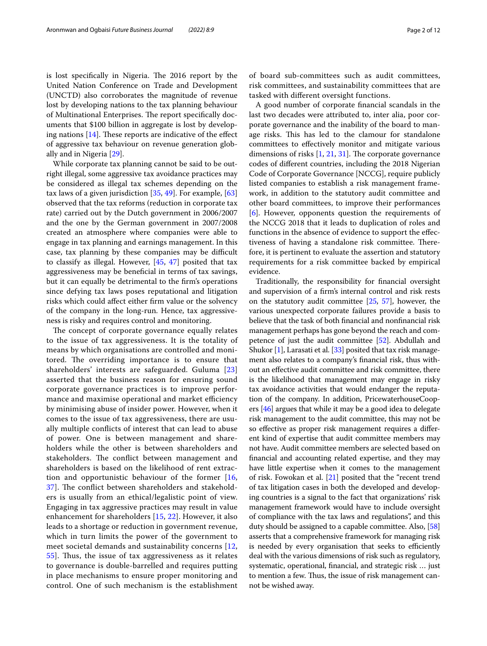is lost specifically in Nigeria. The 2016 report by the United Nation Conference on Trade and Development (UNCTD) also corroborates the magnitude of revenue lost by developing nations to the tax planning behaviour of Multinational Enterprises. The report specifically documents that \$100 billion in aggregate is lost by developing nations  $[14]$  $[14]$ . These reports are indicative of the effect of aggressive tax behaviour on revenue generation globally and in Nigeria [[29\]](#page-10-3).

While corporate tax planning cannot be said to be outright illegal, some aggressive tax avoidance practices may be considered as illegal tax schemes depending on the tax laws of a given jurisdiction [[35,](#page-10-6) [49](#page-10-7)]. For example, [[63](#page-11-0)] observed that the tax reforms (reduction in corporate tax rate) carried out by the Dutch government in 2006/2007 and the one by the German government in 2007/2008 created an atmosphere where companies were able to engage in tax planning and earnings management. In this case, tax planning by these companies may be difficult to classify as illegal. However, [[45,](#page-10-8) [47\]](#page-10-9) posited that tax aggressiveness may be benefcial in terms of tax savings, but it can equally be detrimental to the frm's operations since defying tax laws poses reputational and litigation risks which could afect either frm value or the solvency of the company in the long-run. Hence, tax aggressiveness is risky and requires control and monitoring.

The concept of corporate governance equally relates to the issue of tax aggressiveness. It is the totality of means by which organisations are controlled and monitored. The overriding importance is to ensure that shareholders' interests are safeguarded. Guluma [\[23](#page-10-10)] asserted that the business reason for ensuring sound corporate governance practices is to improve performance and maximise operational and market efficiency by minimising abuse of insider power. However, when it comes to the issue of tax aggressiveness, there are usually multiple conficts of interest that can lead to abuse of power. One is between management and shareholders while the other is between shareholders and stakeholders. The conflict between management and shareholders is based on the likelihood of rent extraction and opportunistic behaviour of the former [\[16](#page-10-11), [37\]](#page-10-12). The conflict between shareholders and stakeholders is usually from an ethical/legalistic point of view. Engaging in tax aggressive practices may result in value enhancement for shareholders [\[15](#page-10-13), [22](#page-10-14)]. However, it also leads to a shortage or reduction in government revenue, which in turn limits the power of the government to meet societal demands and sustainability concerns [\[12](#page-10-15), [55\]](#page-10-16). Thus, the issue of tax aggressiveness as it relates to governance is double-barrelled and requires putting in place mechanisms to ensure proper monitoring and control. One of such mechanism is the establishment of board sub-committees such as audit committees, risk committees, and sustainability committees that are tasked with diferent oversight functions.

A good number of corporate fnancial scandals in the last two decades were attributed to, inter alia, poor corporate governance and the inability of the board to manage risks. This has led to the clamour for standalone committees to efectively monitor and mitigate various dimensions of risks  $[1, 21, 31]$  $[1, 21, 31]$  $[1, 21, 31]$  $[1, 21, 31]$  $[1, 21, 31]$  $[1, 21, 31]$ . The corporate governance codes of diferent countries, including the 2018 Nigerian Code of Corporate Governance [NCCG], require publicly listed companies to establish a risk management framework, in addition to the statutory audit committee and other board committees, to improve their performances [[6\]](#page-9-1). However, opponents question the requirements of the NCCG 2018 that it leads to duplication of roles and functions in the absence of evidence to support the efectiveness of having a standalone risk committee. Therefore, it is pertinent to evaluate the assertion and statutory requirements for a risk committee backed by empirical evidence.

Traditionally, the responsibility for fnancial oversight and supervision of a frm's internal control and risk rests on the statutory audit committee [\[25,](#page-10-19) [57\]](#page-10-20), however, the various unexpected corporate failures provide a basis to believe that the task of both fnancial and nonfnancial risk management perhaps has gone beyond the reach and competence of just the audit committee [\[52\]](#page-10-21). Abdullah and Shukor  $[1]$  $[1]$ , Larasati et al.  $[33]$  $[33]$  posited that tax risk management also relates to a company's fnancial risk, thus without an efective audit committee and risk committee, there is the likelihood that management may engage in risky tax avoidance activities that would endanger the reputation of the company. In addition, PricewaterhouseCoopers [\[46\]](#page-10-23) argues that while it may be a good idea to delegate risk management to the audit committee, this may not be so efective as proper risk management requires a diferent kind of expertise that audit committee members may not have. Audit committee members are selected based on fnancial and accounting related expertise, and they may have little expertise when it comes to the management of risk. Fowokan et al. [[21](#page-10-17)] posited that the "recent trend of tax litigation cases in both the developed and developing countries is a signal to the fact that organizations' risk management framework would have to include oversight of compliance with the tax laws and regulations", and this duty should be assigned to a capable committee. Also, [[58](#page-11-1)] asserts that a comprehensive framework for managing risk is needed by every organisation that seeks to efficiently deal with the various dimensions of risk such as regulatory, systematic, operational, fnancial, and strategic risk … just to mention a few. Thus, the issue of risk management cannot be wished away.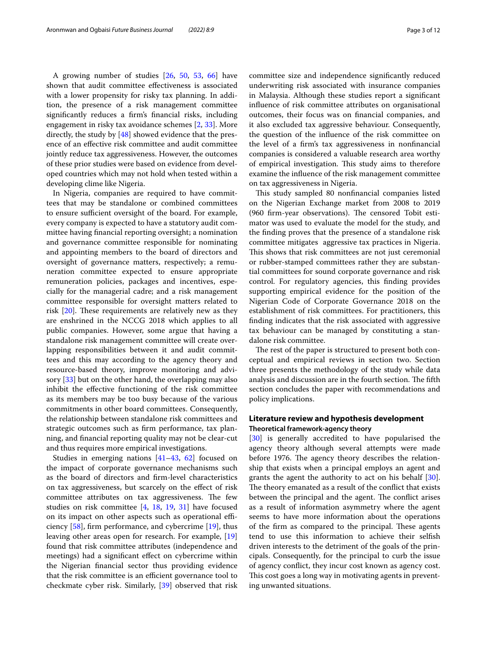A growing number of studies [\[26](#page-10-24), [50](#page-10-25), [53](#page-10-26), [66\]](#page-11-2) have shown that audit committee efectiveness is associated with a lower propensity for risky tax planning. In addition, the presence of a risk management committee signifcantly reduces a frm's fnancial risks, including engagement in risky tax avoidance schemes [[2,](#page-9-2) [33](#page-10-22)]. More directly, the study by  $[48]$  $[48]$  showed evidence that the presence of an efective risk committee and audit committee jointly reduce tax aggressiveness. However, the outcomes of these prior studies were based on evidence from developed countries which may not hold when tested within a developing clime like Nigeria.

In Nigeria, companies are required to have committees that may be standalone or combined committees to ensure sufficient oversight of the board. For example, every company is expected to have a statutory audit committee having fnancial reporting oversight; a nomination and governance committee responsible for nominating and appointing members to the board of directors and oversight of governance matters, respectively; a remuneration committee expected to ensure appropriate remuneration policies, packages and incentives, especially for the managerial cadre; and a risk management committee responsible for oversight matters related to risk  $[20]$  $[20]$ . These requirements are relatively new as they are enshrined in the NCCG 2018 which applies to all public companies. However, some argue that having a standalone risk management committee will create overlapping responsibilities between it and audit committees and this may according to the agency theory and resource-based theory, improve monitoring and advisory [[33\]](#page-10-22) but on the other hand, the overlapping may also inhibit the efective functioning of the risk committee as its members may be too busy because of the various commitments in other board committees. Consequently, the relationship between standalone risk committees and strategic outcomes such as frm performance, tax planning, and fnancial reporting quality may not be clear-cut and thus requires more empirical investigations.

Studies in emerging nations [\[41–](#page-10-29)[43,](#page-10-0) [62\]](#page-11-3) focused on the impact of corporate governance mechanisms such as the board of directors and frm-level characteristics on tax aggressiveness, but scarcely on the efect of risk committee attributes on tax aggressiveness. The few studies on risk committee [[4,](#page-9-3) [18](#page-10-30), [19](#page-10-31), [31\]](#page-10-18) have focused on its impact on other aspects such as operational efficiency  $[58]$  $[58]$ , firm performance, and cybercrime  $[19]$  $[19]$ , thus leaving other areas open for research. For example, [[19](#page-10-31)] found that risk committee attributes (independence and meetings) had a signifcant efect on cybercrime within the Nigerian fnancial sector thus providing evidence that the risk committee is an efficient governance tool to checkmate cyber risk. Similarly, [[39](#page-10-32)] observed that risk committee size and independence signifcantly reduced underwriting risk associated with insurance companies in Malaysia. Although these studies report a signifcant infuence of risk committee attributes on organisational outcomes, their focus was on fnancial companies, and it also excluded tax aggressive behaviour. Consequently, the question of the infuence of the risk committee on the level of a frm's tax aggressiveness in nonfnancial companies is considered a valuable research area worthy of empirical investigation. This study aims to therefore examine the infuence of the risk management committee on tax aggressiveness in Nigeria.

This study sampled 80 nonfinancial companies listed on the Nigerian Exchange market from 2008 to 2019 (960 firm-year observations). The censored Tobit estimator was used to evaluate the model for the study, and the fnding proves that the presence of a standalone risk committee mitigates aggressive tax practices in Nigeria. This shows that risk committees are not just ceremonial or rubber-stamped committees rather they are substantial committees for sound corporate governance and risk control. For regulatory agencies, this fnding provides supporting empirical evidence for the position of the Nigerian Code of Corporate Governance 2018 on the establishment of risk committees. For practitioners, this fnding indicates that the risk associated with aggressive tax behaviour can be managed by constituting a standalone risk committee.

The rest of the paper is structured to present both conceptual and empirical reviews in section two. Section three presents the methodology of the study while data analysis and discussion are in the fourth section. The fifth section concludes the paper with recommendations and policy implications.

# **Literature review and hypothesis development Theoretical framework‑agency theory**

[[30\]](#page-10-33) is generally accredited to have popularised the agency theory although several attempts were made before 1976. The agency theory describes the relationship that exists when a principal employs an agent and grants the agent the authority to act on his behalf [\[30](#page-10-33)]. The theory emanated as a result of the conflict that exists between the principal and the agent. The conflict arises as a result of information asymmetry where the agent seems to have more information about the operations of the firm as compared to the principal. These agents tend to use this information to achieve their selfsh driven interests to the detriment of the goals of the principals. Consequently, for the principal to curb the issue of agency confict, they incur cost known as agency cost. This cost goes a long way in motivating agents in preventing unwanted situations.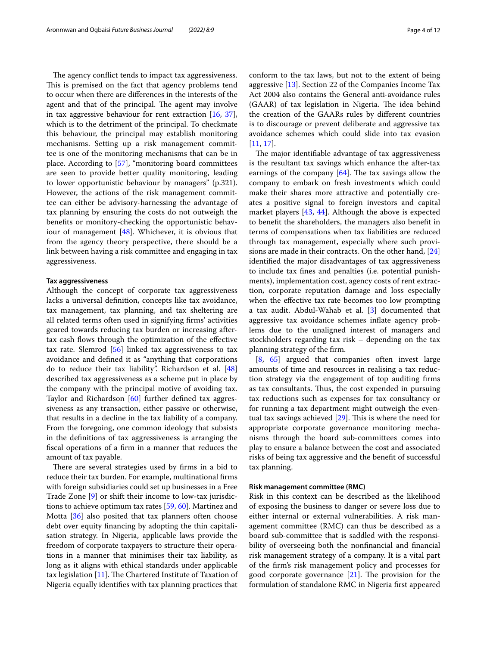The agency conflict tends to impact tax aggressiveness. This is premised on the fact that agency problems tend to occur when there are diferences in the interests of the agent and that of the principal. The agent may involve in tax aggressive behaviour for rent extraction [\[16](#page-10-11), [37](#page-10-12)], which is to the detriment of the principal. To checkmate this behaviour, the principal may establish monitoring mechanisms. Setting up a risk management committee is one of the monitoring mechanisms that can be in place. According to [[57\]](#page-10-20), "monitoring board committees are seen to provide better quality monitoring, leading to lower opportunistic behaviour by managers" (p.321). However, the actions of the risk management committee can either be advisory-harnessing the advantage of tax planning by ensuring the costs do not outweigh the benefts or monitory-checking the opportunistic behaviour of management [\[48](#page-10-27)]. Whichever, it is obvious that from the agency theory perspective, there should be a link between having a risk committee and engaging in tax aggressiveness.

# <span id="page-3-0"></span>**Tax aggressiveness**

Although the concept of corporate tax aggressiveness lacks a universal defnition, concepts like tax avoidance, tax management, tax planning, and tax sheltering are all related terms often used in signifying frms' activities geared towards reducing tax burden or increasing aftertax cash fows through the optimization of the efective tax rate. Slemrod [[56\]](#page-10-34) linked tax aggressiveness to tax avoidance and defned it as "anything that corporations do to reduce their tax liability". Richardson et al. [[48](#page-10-27)] described tax aggressiveness as a scheme put in place by the company with the principal motive of avoiding tax. Taylor and Richardson [[60](#page-11-4)] further defned tax aggressiveness as any transaction, either passive or otherwise, that results in a decline in the tax liability of a company. From the foregoing, one common ideology that subsists in the defnitions of tax aggressiveness is arranging the fscal operations of a frm in a manner that reduces the amount of tax payable.

There are several strategies used by firms in a bid to reduce their tax burden. For example, multinational frms with foreign subsidiaries could set up businesses in a Free Trade Zone [\[9](#page-9-4)] or shift their income to low-tax jurisdictions to achieve optimum tax rates [\[59](#page-11-5), [60\]](#page-11-4). Martinez and Motta [\[36\]](#page-10-35) also posited that tax planners often choose debt over equity fnancing by adopting the thin capitalisation strategy. In Nigeria, applicable laws provide the freedom of corporate taxpayers to structure their operations in a manner that minimises their tax liability, as long as it aligns with ethical standards under applicable tax legislation  $[11]$  $[11]$  $[11]$ . The Chartered Institute of Taxation of Nigeria equally identifes with tax planning practices that conform to the tax laws, but not to the extent of being aggressive [[13\]](#page-10-37). Section 22 of the Companies Income Tax Act 2004 also contains the General anti-avoidance rules (GAAR) of tax legislation in Nigeria. The idea behind the creation of the GAARs rules by diferent countries is to discourage or prevent deliberate and aggressive tax avoidance schemes which could slide into tax evasion [[11,](#page-10-36) [17](#page-10-2)].

The major identifiable advantage of tax aggressiveness is the resultant tax savings which enhance the after-tax earnings of the company  $[64]$  $[64]$  $[64]$ . The tax savings allow the company to embark on fresh investments which could make their shares more attractive and potentially creates a positive signal to foreign investors and capital market players [\[43](#page-10-0), [44\]](#page-10-38). Although the above is expected to beneft the shareholders, the managers also beneft in terms of compensations when tax liabilities are reduced through tax management, especially where such provisions are made in their contracts. On the other hand, [[24](#page-10-39)] identifed the major disadvantages of tax aggressiveness to include tax fnes and penalties (i.e. potential punishments), implementation cost, agency costs of rent extraction, corporate reputation damage and loss especially when the effective tax rate becomes too low prompting a tax audit. Abdul-Wahab et al. [[3\]](#page-9-5) documented that aggressive tax avoidance schemes infate agency problems due to the unaligned interest of managers and stockholders regarding tax risk – depending on the tax planning strategy of the frm.

[[8,](#page-9-6) [65\]](#page-11-7) argued that companies often invest large amounts of time and resources in realising a tax reduction strategy via the engagement of top auditing frms as tax consultants. Thus, the cost expended in pursuing tax reductions such as expenses for tax consultancy or for running a tax department might outweigh the eventual tax savings achieved  $[29]$  $[29]$ . This is where the need for appropriate corporate governance monitoring mechanisms through the board sub-committees comes into play to ensure a balance between the cost and associated risks of being tax aggressive and the beneft of successful tax planning.

## **Risk management committee (RMC)**

Risk in this context can be described as the likelihood of exposing the business to danger or severe loss due to either internal or external vulnerabilities. A risk management committee (RMC) can thus be described as a board sub-committee that is saddled with the responsibility of overseeing both the nonfnancial and fnancial risk management strategy of a company. It is a vital part of the frm's risk management policy and processes for good corporate governance  $[21]$  $[21]$ . The provision for the formulation of standalone RMC in Nigeria frst appeared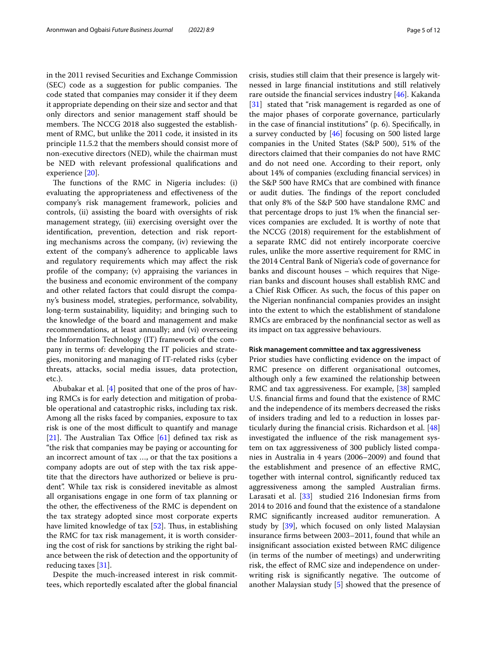in the 2011 revised Securities and Exchange Commission (SEC) code as a suggestion for public companies. The code stated that companies may consider it if they deem it appropriate depending on their size and sector and that only directors and senior management staff should be members. The NCCG 2018 also suggested the establishment of RMC, but unlike the 2011 code, it insisted in its principle 11.5.2 that the members should consist more of non-executive directors (NED), while the chairman must be NED with relevant professional qualifcations and experience [\[20](#page-10-28)].

The functions of the RMC in Nigeria includes: (i) evaluating the appropriateness and efectiveness of the company's risk management framework, policies and controls, (ii) assisting the board with oversights of risk management strategy, (iii) exercising oversight over the identifcation, prevention, detection and risk reporting mechanisms across the company, (iv) reviewing the extent of the company's adherence to applicable laws and regulatory requirements which may afect the risk profle of the company; (v) appraising the variances in the business and economic environment of the company and other related factors that could disrupt the company's business model, strategies, performance, solvability, long-term sustainability, liquidity; and bringing such to the knowledge of the board and management and make recommendations, at least annually; and (vi) overseeing the Information Technology (IT) framework of the company in terms of: developing the IT policies and strategies, monitoring and managing of IT-related risks (cyber threats, attacks, social media issues, data protection, etc.).

Abubakar et al. [[4](#page-9-3)] posited that one of the pros of having RMCs is for early detection and mitigation of probable operational and catastrophic risks, including tax risk. Among all the risks faced by companies, exposure to tax risk is one of the most difficult to quantify and manage [[21\]](#page-10-17). The Australian Tax Office  $[61]$  $[61]$  defined tax risk as "the risk that companies may be paying or accounting for an incorrect amount of tax …, or that the tax positions a company adopts are out of step with the tax risk appetite that the directors have authorized or believe is prudent". While tax risk is considered inevitable as almost all organisations engage in one form of tax planning or the other, the efectiveness of the RMC is dependent on the tax strategy adopted since most corporate experts have limited knowledge of tax  $[52]$  $[52]$ . Thus, in establishing the RMC for tax risk management, it is worth considering the cost of risk for sanctions by striking the right balance between the risk of detection and the opportunity of reducing taxes [[31](#page-10-18)].

Despite the much-increased interest in risk committees, which reportedly escalated after the global fnancial crisis, studies still claim that their presence is largely witnessed in large fnancial institutions and still relatively rare outside the fnancial services industry [[46\]](#page-10-23). Kakanda [[31\]](#page-10-18) stated that "risk management is regarded as one of the major phases of corporate governance, particularly in the case of fnancial institutions" (p. 6). Specifcally, in a survey conducted by [\[46\]](#page-10-23) focusing on 500 listed large companies in the United States (S&P 500), 51% of the directors claimed that their companies do not have RMC and do not need one. According to their report, only about 14% of companies (excluding fnancial services) in the S&P 500 have RMCs that are combined with fnance or audit duties. The findings of the report concluded that only 8% of the S&P 500 have standalone RMC and that percentage drops to just 1% when the fnancial services companies are excluded. It is worthy of note that the NCCG (2018) requirement for the establishment of a separate RMC did not entirely incorporate coercive rules, unlike the more assertive requirement for RMC in the 2014 Central Bank of Nigeria's code of governance for banks and discount houses – which requires that Nigerian banks and discount houses shall establish RMC and a Chief Risk Officer. As such, the focus of this paper on the Nigerian nonfnancial companies provides an insight into the extent to which the establishment of standalone RMCs are embraced by the nonfnancial sector as well as

## **Risk management committee and tax aggressiveness**

its impact on tax aggressive behaviours.

Prior studies have conficting evidence on the impact of RMC presence on diferent organisational outcomes, although only a few examined the relationship between RMC and tax aggressiveness. For example, [\[38](#page-10-40)] sampled U.S. fnancial frms and found that the existence of RMC and the independence of its members decreased the risks of insiders trading and led to a reduction in losses particularly during the fnancial crisis. Richardson et al. [[48](#page-10-27)] investigated the infuence of the risk management system on tax aggressiveness of 300 publicly listed companies in Australia in 4 years (2006–2009) and found that the establishment and presence of an efective RMC, together with internal control, signifcantly reduced tax aggressiveness among the sampled Australian frms. Larasati et al. [[33](#page-10-22)] studied 216 Indonesian firms from 2014 to 2016 and found that the existence of a standalone RMC signifcantly increased auditor remuneration. A study by [\[39](#page-10-32)], which focused on only listed Malaysian insurance frms between 2003–2011, found that while an insignifcant association existed between RMC diligence (in terms of the number of meetings) and underwriting risk, the efect of RMC size and independence on underwriting risk is significantly negative. The outcome of another Malaysian study [[5\]](#page-9-7) showed that the presence of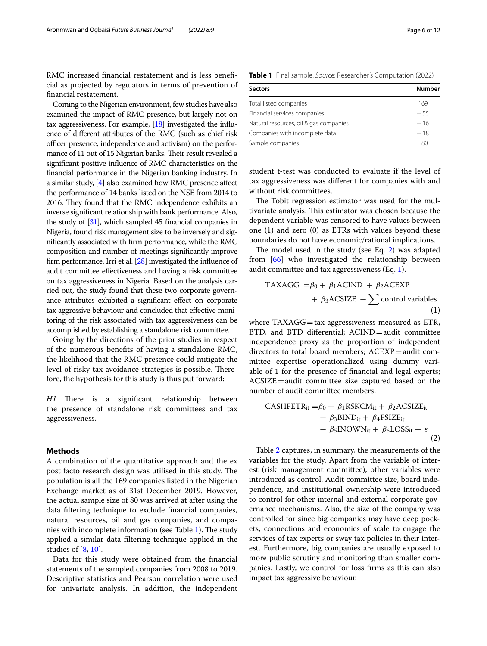RMC increased financial restatement and is less beneficial as projected by regulators in terms of prevention of fnancial restatement.

Coming to the Nigerian environment, few studies have also examined the impact of RMC presence, but largely not on tax aggressiveness. For example, [\[18\]](#page-10-30) investigated the infuence of diferent attributes of the RMC (such as chief risk officer presence, independence and activism) on the performance of 11 out of 15 Nigerian banks. Their result revealed a signifcant positive infuence of RMC characteristics on the fnancial performance in the Nigerian banking industry. In a similar study, [\[4](#page-9-3)] also examined how RMC presence afect the performance of 14 banks listed on the NSE from 2014 to 2016. They found that the RMC independence exhibits an inverse signifcant relationship with bank performance. Also, the study of [\[31](#page-10-18)], which sampled 45 fnancial companies in Nigeria, found risk management size to be inversely and signifcantly associated with frm performance, while the RMC composition and number of meetings signifcantly improve firm performance. Irri et al. [[28](#page-10-41)] investigated the influence of audit committee efectiveness and having a risk committee on tax aggressiveness in Nigeria. Based on the analysis carried out, the study found that these two corporate governance attributes exhibited a signifcant efect on corporate tax aggressive behaviour and concluded that efective monitoring of the risk associated with tax aggressiveness can be accomplished by establishing a standalone risk committee.

Going by the directions of the prior studies in respect of the numerous benefts of having a standalone RMC, the likelihood that the RMC presence could mitigate the level of risky tax avoidance strategies is possible. Therefore, the hypothesis for this study is thus put forward:

*H1* There is a significant relationship between the presence of standalone risk committees and tax aggressiveness.

# **Methods**

A combination of the quantitative approach and the ex post facto research design was utilised in this study. The population is all the 169 companies listed in the Nigerian Exchange market as of 31st December 2019. However, the actual sample size of 80 was arrived at after using the data fltering technique to exclude fnancial companies, natural resources, oil and gas companies, and compa-nies with incomplete information (see Table [1](#page-5-0)). The study applied a similar data fltering technique applied in the studies of [\[8](#page-9-6), [10](#page-10-42)].

Data for this study were obtained from the fnancial statements of the sampled companies from 2008 to 2019. Descriptive statistics and Pearson correlation were used for univariate analysis. In addition, the independent

<span id="page-5-0"></span>

| <b>Number</b> |
|---------------|
| 169           |
| $-55$         |
| $-16$         |
| $-18$         |
| 80            |
|               |

student t-test was conducted to evaluate if the level of tax aggressiveness was diferent for companies with and without risk committees.

The Tobit regression estimator was used for the multivariate analysis. This estimator was chosen because the dependent variable was censored to have values between one (1) and zero (0) as ETRs with values beyond these boundaries do not have economic/rational implications.

The model used in the study (see Eq.  $2$ ) was adapted from [[66\]](#page-11-2) who investigated the relationship between audit committee and tax aggressiveness (Eq. [1](#page-5-2)).

<span id="page-5-2"></span>
$$
TAXAGG = \beta_0 + \beta_1 ACIND + \beta_2 ACEXP + \beta_3 ACSIZE + \sum control variables
$$
\n(1)

where  $TAXAGG=tax$  aggressiveness measured as  $ETR$ , BTD, and BTD diferential; ACIND=audit committee independence proxy as the proportion of independent directors to total board members;  $ACEXP = audit$  committee expertise operationalized using dummy variable of 1 for the presence of fnancial and legal experts; ACSIZE=audit committee size captured based on the number of audit committee members.

<span id="page-5-1"></span>
$$
\begin{aligned}\n\text{CASHFETR}_{it} &= \beta_0 + \beta_1 \text{RSKCM}_{it} + \beta_2 \text{ACSIZE}_{it} \\
&\quad + \beta_3 \text{BIND}_{it} + \beta_4 \text{FSIZE}_{it} \\
&\quad + \beta_5 \text{INOWN}_{it} + \beta_6 \text{LOSS}_{it} + \varepsilon \\
&\quad (2)\n\end{aligned}
$$

Table [2](#page-6-0) captures, in summary, the measurements of the variables for the study. Apart from the variable of interest (risk management committee), other variables were introduced as control. Audit committee size, board independence, and institutional ownership were introduced to control for other internal and external corporate governance mechanisms. Also, the size of the company was controlled for since big companies may have deep pockets, connections and economies of scale to engage the services of tax experts or sway tax policies in their interest. Furthermore, big companies are usually exposed to more public scrutiny and monitoring than smaller companies. Lastly, we control for loss frms as this can also impact tax aggressive behaviour.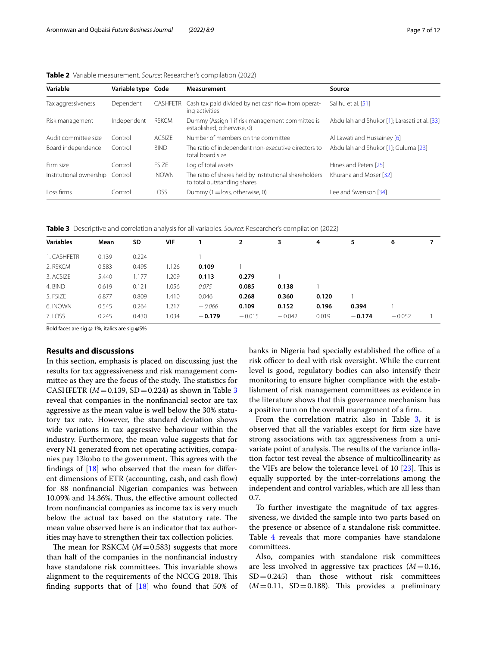| Variable                        | Variable type Code |               | <b>Measurement</b>                                                                    | Source                                        |
|---------------------------------|--------------------|---------------|---------------------------------------------------------------------------------------|-----------------------------------------------|
| Tax aggressiveness              | Dependent          | CASHFETR      | Cash tax paid divided by net cash flow from operat-<br>ing activities                 | Salihu et al. [51]                            |
| Risk management                 | Independent        | <b>RSKCM</b>  | Dummy (Assign 1 if risk management committee is<br>established, otherwise, 0)         | Abdullah and Shukor [1]; Larasati et al. [33] |
| Audit committee size            | Control            | <b>ACSIZE</b> | Number of members on the committee                                                    | Al Lawati and Hussainey [6]                   |
| Board independence              | Control            | <b>BIND</b>   | The ratio of independent non-executive directors to<br>total board size               | Abdullah and Shukor [1]: Guluma [23]          |
| Firm size                       | Control            | <b>FSIZE</b>  | Log of total assets                                                                   | Hines and Peters [25]                         |
| Institutional ownership Control |                    | <b>INOWN</b>  | The ratio of shares held by institutional shareholders<br>to total outstanding shares | Khurana and Moser [32]                        |
| Loss firms                      | Control            | LOSS.         | Dummy $(1 = loss, otherwise, 0)$                                                      | Lee and Swenson [34]                          |

<span id="page-6-0"></span>**Table 2** Variable measurement. *Source*: Researcher's compilation (2022)

<span id="page-6-1"></span>**Table 3** Descriptive and correlation analysis for all variables. *Source*: Researcher's compilation (2022)

| <b>Variables</b> | Mean  | SD    | VIF   |          | $\overline{2}$ | 3        | 4     | 5        | 6        |  |
|------------------|-------|-------|-------|----------|----------------|----------|-------|----------|----------|--|
| 1. CASHFETR      | 0.139 | 0.224 |       |          |                |          |       |          |          |  |
| 2. RSKCM         | 0.583 | 0.495 | 1.126 | 0.109    |                |          |       |          |          |  |
| 3. ACSIZE        | 5.440 | 1.177 | 1.209 | 0.113    | 0.279          |          |       |          |          |  |
| 4. BIND          | 0.619 | 0.121 | 1.056 | 0.075    | 0.085          | 0.138    |       |          |          |  |
| 5. FSIZE         | 6.877 | 0.809 | 1.410 | 0.046    | 0.268          | 0.360    | 0.120 |          |          |  |
| 6. INOWN         | 0.545 | 0.264 | 1.217 | $-0.066$ | 0.109          | 0.152    | 0.196 | 0.394    |          |  |
| 7. LOSS          | 0.245 | 0.430 | 1.034 | $-0.179$ | $-0.015$       | $-0.042$ | 0.019 | $-0.174$ | $-0.052$ |  |
|                  |       |       |       |          |                |          |       |          |          |  |

Bold faces are sig @ 1%; italics are sig @5%

# **Results and discussions**

In this section, emphasis is placed on discussing just the results for tax aggressiveness and risk management committee as they are the focus of the study. The statistics for CASHFETR ( $M = 0.139$  $M = 0.139$  $M = 0.139$ , SD = 0.224) as shown in Table 3 reveal that companies in the nonfnancial sector are tax aggressive as the mean value is well below the 30% statutory tax rate. However, the standard deviation shows wide variations in tax aggressive behaviour within the industry. Furthermore, the mean value suggests that for every N1 generated from net operating activities, companies pay 13kobo to the government. This agrees with the findings of  $[18]$  $[18]$  who observed that the mean for different dimensions of ETR (accounting, cash, and cash flow) for 88 nonfnancial Nigerian companies was between 10.09% and 14.36%. Thus, the effective amount collected from nonfnancial companies as income tax is very much below the actual tax based on the statutory rate. The mean value observed here is an indicator that tax authorities may have to strengthen their tax collection policies.

The mean for RSKCM  $(M=0.583)$  suggests that more than half of the companies in the nonfnancial industry have standalone risk committees. This invariable shows alignment to the requirements of the NCCG 2018. This finding supports that of  $[18]$  $[18]$  who found that 50% of banks in Nigeria had specially established the office of a risk officer to deal with risk oversight. While the current level is good, regulatory bodies can also intensify their monitoring to ensure higher compliance with the establishment of risk management committees as evidence in the literature shows that this governance mechanism has a positive turn on the overall management of a frm.

From the correlation matrix also in Table  $3$ , it is observed that all the variables except for frm size have strong associations with tax aggressiveness from a univariate point of analysis. The results of the variance inflation factor test reveal the absence of multicollinearity as the VIFs are below the tolerance leve1 of 10  $[23]$  $[23]$ . This is equally supported by the inter-correlations among the independent and control variables, which are all less than 0.7.

To further investigate the magnitude of tax aggressiveness, we divided the sample into two parts based on the presence or absence of a standalone risk committee. Table [4](#page-7-0) reveals that more companies have standalone committees.

Also, companies with standalone risk committees are less involved in aggressive tax practices  $(M=0.16,$  $SD = 0.245$ ) than those without risk committees  $(M=0.11, SD=0.188)$ . This provides a preliminary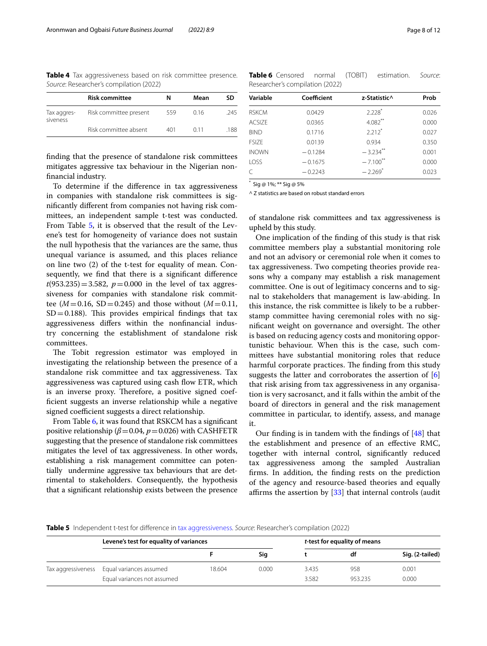<span id="page-7-0"></span>**Table 4** Tax aggressiveness based on risk committee presence. *Source*: Researcher's compilation (2022)

|                         | <b>Risk committee</b>  | N   | Mean | SD   |
|-------------------------|------------------------|-----|------|------|
| Tax aggres-<br>siveness | Risk committee present | 559 | 016  | 245  |
|                         | Risk committee absent  | 401 | O 11 | .188 |

fnding that the presence of standalone risk committees mitigates aggressive tax behaviour in the Nigerian nonfnancial industry.

To determine if the diference in tax aggressiveness in companies with standalone risk committees is signifcantly diferent from companies not having risk committees, an independent sample t-test was conducted. From Table [5](#page-7-1), it is observed that the result of the Levene's test for homogeneity of variance does not sustain the null hypothesis that the variances are the same, thus unequal variance is assumed, and this places reliance on line two (2) of the t-test for equality of mean. Consequently, we fnd that there is a signifcant diference  $t(953.235)=3.582$ ,  $p=0.000$  in the level of tax aggressiveness for companies with standalone risk committee ( $M = 0.16$ , SD = 0.245) and those without ( $M = 0.11$ ,  $SD = 0.188$ ). This provides empirical findings that tax aggressiveness difers within the nonfnancial industry concerning the establishment of standalone risk committees.

The Tobit regression estimator was employed in investigating the relationship between the presence of a standalone risk committee and tax aggressiveness. Tax aggressiveness was captured using cash flow ETR, which is an inverse proxy. Therefore, a positive signed coeffcient suggests an inverse relationship while a negative signed coefficient suggests a direct relationship.

From Table [6](#page-7-2), it was found that RSKCM has a signifcant positive relationship (*β*=0.04, *p*=0.026) with CASHFETR suggesting that the presence of standalone risk committees mitigates the level of tax aggressiveness. In other words, establishing a risk management committee can potentially undermine aggressive tax behaviours that are detrimental to stakeholders. Consequently, the hypothesis that a signifcant relationship exists between the presence

<span id="page-7-2"></span>**Table 6** Censored normal (TOBIT) estimation. *Source*: Researcher's compilation (2022)

| Variable     | Coefficient | z-Statistic^           | Prob  |
|--------------|-------------|------------------------|-------|
| <b>RSKCM</b> | 0.0429      | $2.228$ <sup>*</sup>   | 0.026 |
| ACSIZE       | 0.0365      | $4.082$ **             | 0.000 |
| <b>BIND</b>  | 0.1716      | $2.212*$               | 0.027 |
| <b>FSIZE</b> | 0.0139      | 0.934                  | 0.350 |
| <b>INOWN</b> | $-0.1284$   | $-3.234$ **            | 0.001 |
| <b>LOSS</b>  | $-0.1675$   | $-7.100$ <sup>**</sup> | 0.000 |
|              | $-0.2243$   | $-2.269$ <sup>*</sup>  | 0.023 |
|              |             |                        |       |

\* Sig @ 1%; \*\* Sig @ 5%

^ Z statistics are based on robust standard errors

of standalone risk committees and tax aggressiveness is upheld by this study.

One implication of the fnding of this study is that risk committee members play a substantial monitoring role and not an advisory or ceremonial role when it comes to tax aggressiveness. Two competing theories provide reasons why a company may establish a risk management committee. One is out of legitimacy concerns and to signal to stakeholders that management is law-abiding. In this instance, the risk committee is likely to be a rubberstamp committee having ceremonial roles with no significant weight on governance and oversight. The other is based on reducing agency costs and monitoring opportunistic behaviour. When this is the case, such committees have substantial monitoring roles that reduce harmful corporate practices. The finding from this study suggests the latter and corroborates the assertion of [\[6](#page-9-1)] that risk arising from tax aggressiveness in any organisation is very sacrosanct, and it falls within the ambit of the board of directors in general and the risk management committee in particular, to identify, assess, and manage it.

Our fnding is in tandem with the fndings of [\[48](#page-10-27)] that the establishment and presence of an efective RMC, together with internal control, signifcantly reduced tax aggressiveness among the sampled Australian frms. In addition, the fnding rests on the prediction of the agency and resource-based theories and equally affirms the assertion by  $[33]$  that internal controls (audit

# <span id="page-7-1"></span>**Table 5** Independent t-test for difference in [tax aggressiveness.](#page-3-0) *Source*: Researcher's compilation (2022)

|                    | Levene's test for equality of variances |        |       | t-test for equality of means |         |                 |
|--------------------|-----------------------------------------|--------|-------|------------------------------|---------|-----------------|
|                    |                                         |        | Sia   |                              | df      | Sig. (2-tailed) |
| Tax aggressiveness | Equal variances assumed                 | 18.604 | 0.000 | 3.435                        | 958     | 0.001           |
|                    | Equal variances not assumed             |        |       | 3.582                        | 953.235 | 0.000           |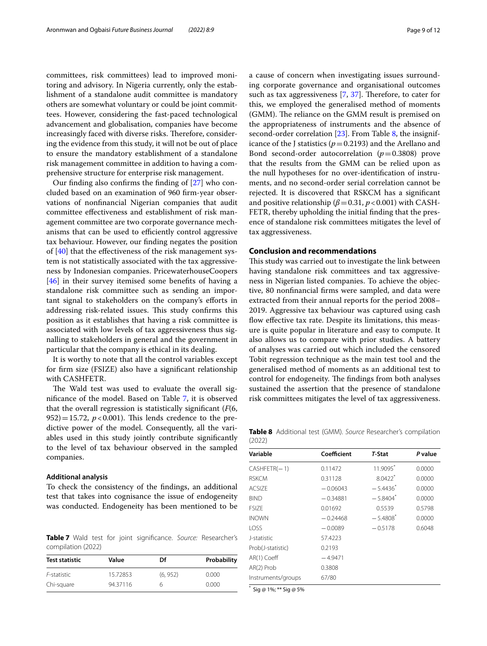committees, risk committees) lead to improved monitoring and advisory. In Nigeria currently, only the establishment of a standalone audit committee is mandatory others are somewhat voluntary or could be joint committees. However, considering the fast-paced technological advancement and globalisation, companies have become increasingly faced with diverse risks. Therefore, considering the evidence from this study, it will not be out of place to ensure the mandatory establishment of a standalone risk management committee in addition to having a comprehensive structure for enterprise risk management.

Our fnding also confrms the fnding of [[27\]](#page-10-1) who concluded based on an examination of 960 frm-year observations of nonfnancial Nigerian companies that audit committee efectiveness and establishment of risk management committee are two corporate governance mechanisms that can be used to efficiently control aggressive tax behaviour. However, our fnding negates the position of [[40](#page-10-46)] that the efectiveness of the risk management system is not statistically associated with the tax aggressiveness by Indonesian companies. PricewaterhouseCoopers [[46\]](#page-10-23) in their survey itemised some benefts of having a standalone risk committee such as sending an important signal to stakeholders on the company's eforts in addressing risk-related issues. This study confirms this position as it establishes that having a risk committee is associated with low levels of tax aggressiveness thus signalling to stakeholders in general and the government in particular that the company is ethical in its dealing.

It is worthy to note that all the control variables except for frm size (FSIZE) also have a signifcant relationship with CASHFETR.

The Wald test was used to evaluate the overall signifcance of the model. Based on Table [7,](#page-8-0) it is observed that the overall regression is statistically signifcant (*F*(6, 952) = 15.72,  $p < 0.001$ ). This lends credence to the predictive power of the model. Consequently, all the variables used in this study jointly contribute signifcantly to the level of tax behaviour observed in the sampled companies.

## **Additional analysis**

To check the consistency of the fndings, an additional test that takes into cognisance the issue of endogeneity was conducted. Endogeneity has been mentioned to be

<span id="page-8-0"></span>**Table 7** Wald test for joint signifcance. *Source:* Researcher's compilation (2022)

| <b>Test statistic</b> | Value    | Df      | Probability |
|-----------------------|----------|---------|-------------|
| F-statistic           | 15.72853 | (6.952) | 0.000       |
| Chi-square            | 94.37116 | h       | 0.000       |

a cause of concern when investigating issues surrounding corporate governance and organisational outcomes such as tax aggressiveness  $[7, 37]$  $[7, 37]$  $[7, 37]$  $[7, 37]$ . Therefore, to cater for this, we employed the generalised method of moments (GMM). The reliance on the GMM result is premised on the appropriateness of instruments and the absence of second-order correlation [\[23](#page-10-10)]. From Table [8](#page-8-1), the insignificance of the J statistics ( $p=0.2193$ ) and the Arellano and Bond second-order autocorrelation (*p*=0.3808) prove that the results from the GMM can be relied upon as the null hypotheses for no over-identifcation of instruments, and no second-order serial correlation cannot be rejected. It is discovered that RSKCM has a signifcant and positive relationship ( $\beta$  = 0.31,  $p$  < 0.001) with CASH-FETR, thereby upholding the initial fnding that the presence of standalone risk committees mitigates the level of tax aggressiveness.

## **Conclusion and recommendations**

This study was carried out to investigate the link between having standalone risk committees and tax aggressiveness in Nigerian listed companies. To achieve the objective, 80 nonfnancial frms were sampled, and data were extracted from their annual reports for the period 2008– 2019. Aggressive tax behaviour was captured using cash flow effective tax rate. Despite its limitations, this measure is quite popular in literature and easy to compute. It also allows us to compare with prior studies. A battery of analyses was carried out which included the censored Tobit regression technique as the main test tool and the generalised method of moments as an additional test to control for endogeneity. The findings from both analyses sustained the assertion that the presence of standalone risk committees mitigates the level of tax aggressiveness.

<span id="page-8-1"></span>**Table 8** Additional test (GMM). *Source* Researcher's compilation (2022)

| Variable           | Coefficient | <b>T-Stat</b>          | P value |
|--------------------|-------------|------------------------|---------|
| $CASHFETR(-1)$     | 0.11472     | 11.9095                | 0.0000  |
| <b>RSKCM</b>       | 0.31128     | $80422*$               | 0.0000  |
| ACSIZE             | $-0.06043$  | $-5.4436*$             | 0.0000  |
| <b>BIND</b>        | $-0.34881$  | $-5.8404*$             | 0.0000  |
| <b>FSIZE</b>       | 0.01692     | 0.5539                 | 0.5798  |
| <b>INOWN</b>       | $-0.24468$  | $-5.4808$ <sup>*</sup> | 0.0000  |
| <b>LOSS</b>        | $-0.0089$   | $-0.5178$              | 0.6048  |
| J-statistic        | 57.4223     |                        |         |
| Prob(J-statistic)  | 0.2193      |                        |         |
| AR(1) Coeff        | $-4.9471$   |                        |         |
| AR(2) Prob         | 0.3808      |                        |         |
| Instruments/groups | 67/80       |                        |         |

\* Sig @ 1%; \*\* Sig @ 5%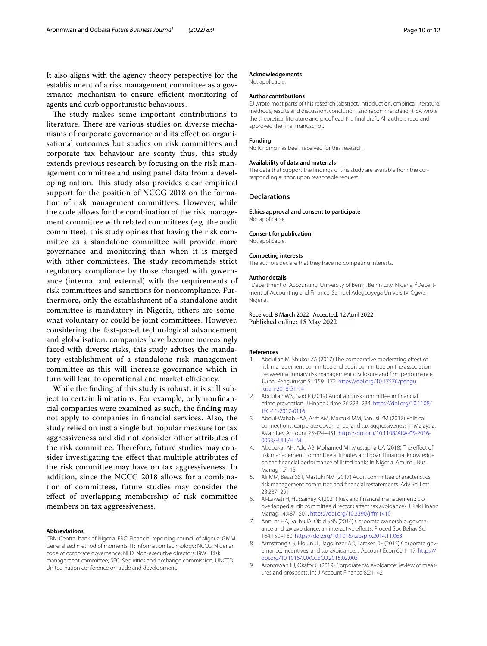It also aligns with the agency theory perspective for the establishment of a risk management committee as a governance mechanism to ensure efficient monitoring of agents and curb opportunistic behaviours.

The study makes some important contributions to literature. There are various studies on diverse mechanisms of corporate governance and its efect on organisational outcomes but studies on risk committees and corporate tax behaviour are scanty thus, this study extends previous research by focusing on the risk management committee and using panel data from a developing nation. This study also provides clear empirical support for the position of NCCG 2018 on the formation of risk management committees. However, while the code allows for the combination of the risk management committee with related committees (e.g. the audit committee), this study opines that having the risk committee as a standalone committee will provide more governance and monitoring than when it is merged with other committees. The study recommends strict regulatory compliance by those charged with governance (internal and external) with the requirements of risk committees and sanctions for noncompliance. Furthermore, only the establishment of a standalone audit committee is mandatory in Nigeria, others are somewhat voluntary or could be joint committees. However, considering the fast-paced technological advancement and globalisation, companies have become increasingly faced with diverse risks, this study advises the mandatory establishment of a standalone risk management committee as this will increase governance which in turn will lead to operational and market efficiency.

While the fnding of this study is robust, it is still subject to certain limitations. For example, only nonfnancial companies were examined as such, the fnding may not apply to companies in fnancial services. Also, the study relied on just a single but popular measure for tax aggressiveness and did not consider other attributes of the risk committee. Therefore, future studies may consider investigating the efect that multiple attributes of the risk committee may have on tax aggressiveness. In addition, since the NCCG 2018 allows for a combination of committees, future studies may consider the efect of overlapping membership of risk committee members on tax aggressiveness.

#### **Abbreviations**

CBN: Central bank of Nigeria; FRC: Financial reporting council of Nigeria; GMM: Generalised method of moments; IT: Information technology; NCCG: Nigerian code of corporate governance; NED: Non-executive directors; RMC: Risk management committee; SEC: Securities and exchange commission; UNCTD: United nation conference on trade and development.

## **Acknowledgements**

Not applicable.

## **Author contributions**

EJ wrote most parts of this research (abstract, introduction, empirical literature, methods, results and discussion, conclusion, and recommendation). SA wrote the theoretical literature and proofread the fnal draft. All authors read and approved the fnal manuscript.

#### **Funding**

No funding has been received for this research.

#### **Availability of data and materials**

The data that support the fndings of this study are available from the corresponding author, upon reasonable request.

## **Declarations**

**Ethics approval and consent to participate**

Not applicable.

#### **Consent for publication**

Not applicable.

#### **Competing interests**

The authors declare that they have no competing interests.

#### **Author details**

<sup>1</sup> Department of Accounting, University of Benin, Benin City, Nigeria. <sup>2</sup> Department of Accounting and Finance, Samuel Adegboyega University, Ogwa, Nigeria.

Received: 8 March 2022 Accepted: 12 April 2022 Published online: 15 May 2022

#### **References**

- <span id="page-9-0"></span>Abdullah M, Shukor ZA (2017) The comparative moderating effect of risk management committee and audit committee on the association between voluntary risk management disclosure and frm performance. Jurnal Pengurusan 51:159–172. [https://doi.org/10.17576/pengu](https://doi.org/10.17576/pengurusan-2018-51-14) [rusan-2018-51-14](https://doi.org/10.17576/pengurusan-2018-51-14)
- <span id="page-9-2"></span>2. Abdullah WN, Said R (2019) Audit and risk committee in fnancial crime prevention. J Financ Crime 26:223–234. [https://doi.org/10.1108/](https://doi.org/10.1108/JFC-11-2017-0116) [JFC-11-2017-0116](https://doi.org/10.1108/JFC-11-2017-0116)
- <span id="page-9-5"></span>3. Abdul-Wahab EAA, Arif AM, Marzuki MM, Sanusi ZM (2017) Political connections, corporate governance, and tax aggressiveness in Malaysia. Asian Rev Account 25:424–451. [https://doi.org/10.1108/ARA-05-2016-](https://doi.org/10.1108/ARA-05-2016-0053/FULL/HTML) [0053/FULL/HTML](https://doi.org/10.1108/ARA-05-2016-0053/FULL/HTML)
- <span id="page-9-3"></span>4. Abubakar AH, Ado AB, Mohamed MI, Mustapha UA (2018) The efect of risk management committee attributes and board fnancial knowledge on the fnancial performance of listed banks in Nigeria. Am Int J Bus Manag 1:7–13
- <span id="page-9-7"></span>5. Ali MM, Besar SST, Mastuki NM (2017) Audit committee characteristics, risk management committee and fnancial restatements. Adv Sci Lett 23:287–291
- <span id="page-9-1"></span>6. Al-Lawati H, Hussainey K (2021) Risk and fnancial management: Do overlapped audit committee directors afect tax avoidance? J Risk Financ Manag 14:487–501.<https://doi.org/10.3390/jrfm1410>
- <span id="page-9-8"></span>7. Annuar HA, Salihu IA, Obid SNS (2014) Corporate ownership, governance and tax avoidance: an interactive efects. Proced Soc Behav Sci 164:150–160. <https://doi.org/10.1016/j.sbspro.2014.11.063>
- <span id="page-9-6"></span>8. Armstrong CS, Blouin JL, Jagolinzer AD, Larcker DF (2015) Corporate governance, incentives, and tax avoidance. J Account Econ 60:1–17. [https://](https://doi.org/10.1016/J.JACCECO.2015.02.003) [doi.org/10.1016/J.JACCECO.2015.02.003](https://doi.org/10.1016/J.JACCECO.2015.02.003)
- <span id="page-9-4"></span>9. Aronmwan EJ, Okafor C (2019) Corporate tax avoidance: review of measures and prospects. Int J Account Finance 8:21–42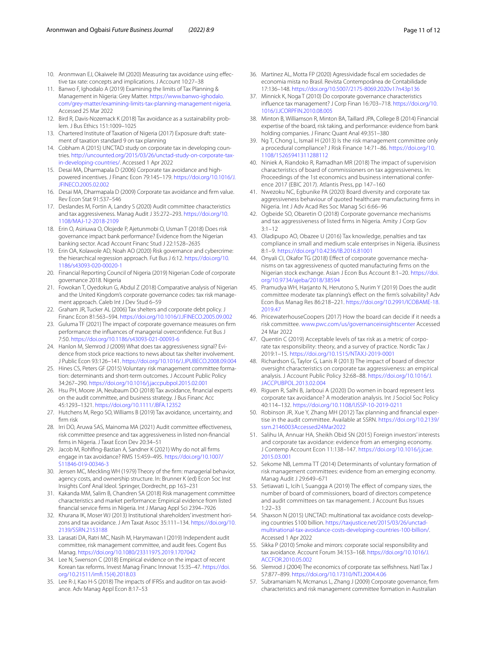- <span id="page-10-42"></span>10. Aronmwan EJ, Okaiwele IM (2020) Measuring tax avoidance using efective tax rate: concepts and implications. J Account 10:27–38
- <span id="page-10-36"></span>11. Banwo F, Ighodalo A (2019) Examining the limits of Tax Planning & Management in Nigeria: Grey Matter. [https://www.banwo-ighodalo.](https://www.banwo-ighodalo.com/grey-matter/examining-limits-tax-planning-management-nigeria) [com/grey-matter/examining-limits-tax-planning-management-nigeria.](https://www.banwo-ighodalo.com/grey-matter/examining-limits-tax-planning-management-nigeria) Accessed 25 Mar 2022
- <span id="page-10-15"></span>12. Bird R, Davis-Nozemack K (2018) Tax avoidance as a sustainability problem. J Bus Ethics 151:1009–1025
- <span id="page-10-37"></span>13. Chartered Institute of Taxation of Nigeria (2017) Exposure draft: statement of taxation standard 9 on tax planning
- <span id="page-10-5"></span>14. Cobham A (2015) UNCTAD study on corporate tax in developing countries. [http://uncounted.org/2015/03/26/unctad-study-on-corporate-tax](http://uncounted.org/2015/03/26/unctad-study-on-corporate-tax-in-developing-countries/)[in-developing-countries/.](http://uncounted.org/2015/03/26/unctad-study-on-corporate-tax-in-developing-countries/) Accessed 1 Apr 2022
- <span id="page-10-13"></span>15. Desai MA, Dharmapala D (2006) Corporate tax avoidance and highpowered incentives. J Financ Econ 79:145–179. [https://doi.org/10.1016/J.](https://doi.org/10.1016/J.JFINECO.2005.02.002) [JFINECO.2005.02.002](https://doi.org/10.1016/J.JFINECO.2005.02.002)
- <span id="page-10-11"></span>16. Desai MA, Dharmapala D (2009) Corporate tax avoidance and frm value. Rev Econ Stat 91:537–546
- <span id="page-10-2"></span>17. Deslandes M, Fortin A, Landry S (2020) Audit committee characteristics and tax aggressiveness. Manag Audit J 35:272–293. [https://doi.org/10.](https://doi.org/10.1108/MAJ-12-2018-2109) [1108/MAJ-12-2018-2109](https://doi.org/10.1108/MAJ-12-2018-2109)
- <span id="page-10-30"></span>18. Erin O, Asiriuwa O, Olojede P, Ajetunmobi O, Usman T (2018) Does risk governance impact bank performance? Evidence from the Nigerian banking sector. Acad Account Financ Stud J 22:1528–2635
- <span id="page-10-31"></span>19. Erin OA, Kolawole AD, Noah AO (2020) Risk governance and cybercrime: the hierarchical regression approach. Fut Bus J 6:12. [https://doi.org/10.](https://doi.org/10.1186/s43093-020-00020-1) [1186/s43093-020-00020-1](https://doi.org/10.1186/s43093-020-00020-1)
- <span id="page-10-28"></span>20. Financial Reporting Council of Nigeria (2019) Nigerian Code of corporate governance 2018. Nigeria
- <span id="page-10-17"></span>21. Fowokan T, Oyedokun G, Abdul Z (2018) Comparative analysis of Nigerian and the United Kingdom's corporate governance codes: tax risk management approach. Caleb Int J Dev Stud 6–59
- <span id="page-10-14"></span>22. Graham JR, Tucker AL (2006) Tax shelters and corporate debt policy. J Financ Econ 81:563–594. <https://doi.org/10.1016/J.JFINECO.2005.09.002>
- <span id="page-10-10"></span>23. Guluma TF (2021) The impact of corporate governance measures on frm performance: the infuences of managerial overconfdence. Fut Bus J 7:50. <https://doi.org/10.1186/s43093-021-00093-6>
- <span id="page-10-39"></span>24. Hanlon M, Slemrod J (2009) What does tax aggressiveness signal? Evidence from stock price reactions to news about tax shelter involvement. J Public Econ 93:126–141. <https://doi.org/10.1016/J.JPUBECO.2008.09.004>
- <span id="page-10-19"></span>25. Hines CS, Peters GF (2015) Voluntary risk management committee formation: determinants and short-term outcomes. J Account Public Policy 34:267–290. <https://doi.org/10.1016/j.jaccpubpol.2015.02.001>
- <span id="page-10-24"></span>26. Hsu PH, Moore JA, Neubaum DO (2018) Tax avoidance, fnancial experts on the audit committee, and business strategy. J Bus Financ Acc 45:1293–1321.<https://doi.org/10.1111/JBFA.12352>
- <span id="page-10-1"></span>27. Hutchens M, Rego SO, Williams B (2019) Tax avoidance, uncertainty, and frm risk
- <span id="page-10-41"></span>28. Irri DO, Aruwa SAS, Mainoma MA (2021) Audit committee efectiveness, risk committee presence and tax aggressiveness in listed non-fnancial frms in Nigeria. J Taxat Econ Dev 20:34–51
- <span id="page-10-3"></span>29. Jacob M, Rohlfng-Bastian A, Sandner K (2021) Why do not all frms engage in tax avoidance? RMS 15:459–495. [https://doi.org/10.1007/](https://doi.org/10.1007/S11846-019-00346-3) [S11846-019-00346-3](https://doi.org/10.1007/S11846-019-00346-3)
- <span id="page-10-33"></span>30. Jensen MC, Meckling WH (1979) Theory of the frm: managerial behavior, agency costs, and ownership structure. In: Brunner K (ed) Econ Soc Inst Insights Conf Anal Ideol. Springer, Dordrecht, pp 163–231
- <span id="page-10-18"></span>31. Kakanda MM, Salim B, Chandren SA (2018) Risk management committee characteristics and market performance: Empirical evidence from listed fnancial service frms in Nigeria. Int J Manag Appl Sci 2394–7926
- <span id="page-10-44"></span>32. Khurana IK, Moser WJ (2013) Institutional shareholders' investment horizons and tax avoidance. J Am Taxat Assoc 35:111–134. [https://doi.org/10.](https://doi.org/10.2139/SSRN.2153188) [2139/SSRN.2153188](https://doi.org/10.2139/SSRN.2153188)
- <span id="page-10-22"></span>33. Larasati DA, Ratri MC, Nasih M, Harymawan I (2019) Independent audit committee, risk management committee, and audit fees. Cogent Bus Manag.<https://doi.org/10.1080/23311975.2019.1707042>
- <span id="page-10-45"></span>34. Lee N, Swenson C (2018) Empirical evidence on the impact of recent Korean tax reforms. Invest Manag Financ Innovat 15:35–47. [https://doi.](https://doi.org/10.21511/imfi.15(4).2018.03) [org/10.21511/imf.15\(4\).2018.03](https://doi.org/10.21511/imfi.15(4).2018.03)
- <span id="page-10-6"></span>35. Lee R-J, Kao H-S (2018) The impacts of IFRSs and auditor on tax avoidance. Adv Manag Appl Econ 8:17–53
- <span id="page-10-35"></span>36. Martinez AL, Motta FP (2020) Agressividade fscal em sociedades de economia mista no Brasil. Revista Contemporânea de Contabilidade 17:136–148.<https://doi.org/10.5007/2175-8069.2020v17n43p136>
- <span id="page-10-12"></span>37. Minnick K, Noga T (2010) Do corporate governance characteristics infuence tax management? J Corp Finan 16:703–718. [https://doi.org/10.](https://doi.org/10.1016/J.JCORPFIN.2010.08.005) [1016/J.JCORPFIN.2010.08.005](https://doi.org/10.1016/J.JCORPFIN.2010.08.005)
- <span id="page-10-40"></span>38. Minton B, Williamson R, Minton BA, Taillard JPA, College B (2014) Financial expertise of the board, risk taking, and performance: evidence from bank holding companies. J Financ Quant Anal 49:351–380
- <span id="page-10-32"></span>39. Ng T, Chong L, Ismail H (2013) Is the risk management committee only a procedural compliance? J Risk Finance 14:71–86. [https://doi.org/10.](https://doi.org/10.1108/15265941311288112) [1108/15265941311288112](https://doi.org/10.1108/15265941311288112)
- <span id="page-10-46"></span>40. Niniek A, Riandoko R, Ramadhan MR (2018) The impact of supervision characteristics of board of commissioners on tax aggressiveness. In: Proceedings of the 1st economics and business international conference 2017 (EBIC 2017). Atlantis Press, pp 147–160
- <span id="page-10-29"></span>41. Nwezoku NC, Egbunike PA (2020) Board diversity and corporate tax aggressiveness behaviour of quoted healthcare manufacturing frms in Nigeria. Int J Adv Acad Res Soc Manag Sci 6:66–96
- 42. Ogbeide SO, Obaretin O (2018) Corporate governance mechanisms and tax aggressiveness of listed frms in Nigeria. Amity J Corp Gov 3:1–12
- <span id="page-10-0"></span>43. Oladipupo AO, Obazee U (2016) Tax knowledge, penalties and tax compliance in small and medium scale enterprises in Nigeria. iBusiness 8:1–9.<https://doi.org/10.4236/IB.2016.81001>
- <span id="page-10-38"></span>44. Onyali CI, Okafor TG (2018) Efect of corporate governance mechanisms on tax aggressiveness of quoted manufacturing frms on the Nigerian stock exchange. Asian J Econ Bus Account 8:1–20. [https://doi.](https://doi.org/10.9734/ajeba/2018/38594) [org/10.9734/ajeba/2018/38594](https://doi.org/10.9734/ajeba/2018/38594)
- <span id="page-10-8"></span>45. Pramudya WH, Harjanto N, Herutono S, Nurim Y (2019) Does the audit committee moderate tax planning's effect on the firm's solvability? Adv Econ Bus Manag Res 86:218–221. [https://doi.org/10.2991/ICOBAME-18.](https://doi.org/10.2991/ICOBAME-18.2019.47) [2019.47](https://doi.org/10.2991/ICOBAME-18.2019.47)
- <span id="page-10-23"></span>46. PricewaterhouseCoopers (2017) How the board can decide if it needs a risk committee. [www.pwc.com/us/governanceinsightscenter](http://www.pwc.com/us/governanceinsightscenter) Accessed 24 Mar 2022
- <span id="page-10-9"></span>47. Quentin C (2019) Acceptable levels of tax risk as a metric of corporate tax responsibility: theory, and a survey of practice. Nordic Tax J 2019:1–15. <https://doi.org/10.1515/NTAXJ-2019-0001>
- <span id="page-10-27"></span>48. Richardson G, Taylor G, Lanis R (2013) The impact of board of director oversight characteristics on corporate tax aggressiveness: an empirical analysis. J Account Public Policy 32:68–88. [https://doi.org/10.1016/J.](https://doi.org/10.1016/J.JACCPUBPOL.2013.02.004) [JACCPUBPOL.2013.02.004](https://doi.org/10.1016/J.JACCPUBPOL.2013.02.004)
- <span id="page-10-7"></span>49. Riguen R, Salhi B, Jarboui A (2020) Do women in board represent less corporate tax avoidance? A moderation analysis. Int J Sociol Soc Policy 40:114–132.<https://doi.org/10.1108/IJSSP-10-2019-0211>
- <span id="page-10-25"></span>50. Robinson JR, Xue Y, Zhang MH (2012) Tax planning and fnancial expertise in the audit committee. Available at SSRN. [https://doi.org/10.2139/](https://doi.org/10.2139/ssrn.2146003Accessed24Mar2022) [ssrn.2146003Accessed24Mar2022](https://doi.org/10.2139/ssrn.2146003Accessed24Mar2022)
- <span id="page-10-43"></span>51. Salihu IA, Annuar HA, Sheikh Obid SN (2015) Foreign investors' interests and corporate tax avoidance: evidence from an emerging economy. J Contemp Account Econ 11:138–147. [https://doi.org/10.1016/j.jcae.](https://doi.org/10.1016/j.jcae.2015.03.001) [2015.03.001](https://doi.org/10.1016/j.jcae.2015.03.001)
- <span id="page-10-21"></span>52. Sekome NB, Lemma TT (2014) Determinants of voluntary formation of risk management committees: evidence from an emerging economy. Manag Audit J 29:649–671
- <span id="page-10-26"></span>53. Setiawati L, Icih I, Suangga A (2019) The effect of company sizes, the number of board of commissioners, board of directors competence and audit committees on tax management. J Account Bus Issues 1:22–33
- <span id="page-10-4"></span>54. Shaxson N (2015) UNCTAD: multinational tax avoidance costs developing countries \$100 billion. [https://taxjustice.net/2015/03/26/unctad](https://taxjustice.net/2015/03/26/unctad-multinational-tax-avoidance-costs-developing-countries-100-billion/)[multinational-tax-avoidance-costs-developing-countries-100-billion/.](https://taxjustice.net/2015/03/26/unctad-multinational-tax-avoidance-costs-developing-countries-100-billion/) Accessed 1 Apr 2022
- <span id="page-10-16"></span>55. Sikka P (2010) Smoke and mirrors: corporate social responsibility and tax avoidance. Account Forum 34:153–168. [https://doi.org/10.1016/J.](https://doi.org/10.1016/J.ACCFOR.2010.05.002) [ACCFOR.2010.05.002](https://doi.org/10.1016/J.ACCFOR.2010.05.002)
- <span id="page-10-34"></span>56. Slemrod J (2004) The economics of corporate tax selfshness. Natl Tax J 57:877–899.<https://doi.org/10.17310/NTJ.2004.4.06>
- <span id="page-10-20"></span>57. Subramaniam N, Mcmanus L, Zhang J (2009) Corporate governance, frm characteristics and risk management committee formation in Australian